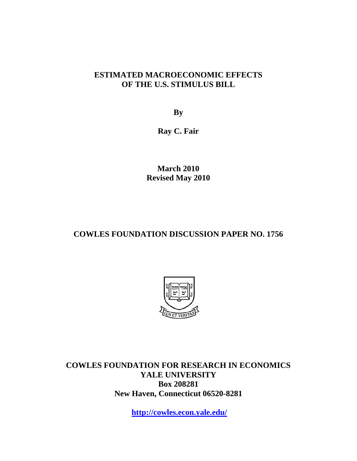### **ESTIMATED MACROECONOMIC EFFECTS OF THE U.S. STIMULUS BILL**

**By** 

**Ray C. Fair** 

**March 2010 Revised May 2010** 

### **COWLES FOUNDATION DISCUSSION PAPER NO. 1756**



**COWLES FOUNDATION FOR RESEARCH IN ECONOMICS YALE UNIVERSITY Box 208281 New Haven, Connecticut 06520-8281** 

**http://cowles.econ.yale.edu/**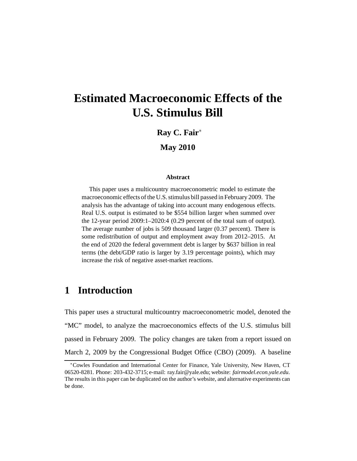# **Estimated Macroeconomic Effects of the U.S. Stimulus Bill**

**Ray C. Fair**<sup>∗</sup>

**May 2010**

#### **Abstract**

This paper uses a multicountry macroeconometric model to estimate the macroeconomic effects of the U.S. stimulus bill passed in February 2009. The analysis has the advantage of taking into account many endogenous effects. Real U.S. output is estimated to be \$554 billion larger when summed over the 12-year period 2009:1–2020:4 (0.29 percent of the total sum of output). The average number of jobs is 509 thousand larger (0.37 percent). There is some redistribution of output and employment away from 2012–2015. At the end of 2020 the federal government debt is larger by \$637 billion in real terms (the debt/GDP ratio is larger by 3.19 percentage points), which may increase the risk of negative asset-market reactions.

# **1 Introduction**

This paper uses a structural multicountry macroeconometric model, denoted the "MC" model, to analyze the macroeconomics effects of the U.S. stimulus bill passed in February 2009. The policy changes are taken from a report issued on March 2, 2009 by the Congressional Budget Office (CBO) (2009). A baseline

<sup>∗</sup>Cowles Foundation and International Center for Finance, Yale University, New Haven, CT 06520-8281. Phone: 203-432-3715; e-mail: ray.fair@yale.edu; website: *fairmodel.econ.yale.edu*. The results in this paper can be duplicated on the author's website, and alternative experiments can be done.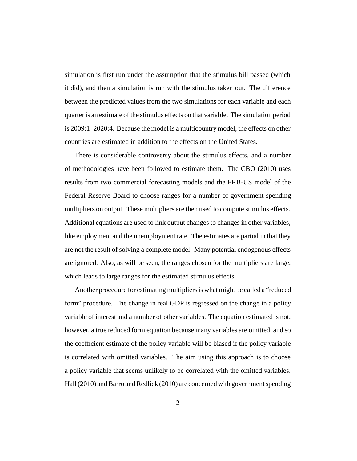simulation is first run under the assumption that the stimulus bill passed (which it did), and then a simulation is run with the stimulus taken out. The difference between the predicted values from the two simulations for each variable and each quarter is an estimate of the stimulus effects on that variable. The simulation period is 2009:1–2020:4. Because the model is a multicountry model, the effects on other countries are estimated in addition to the effects on the United States.

There is considerable controversy about the stimulus effects, and a number of methodologies have been followed to estimate them. The CBO (2010) uses results from two commercial forecasting models and the FRB-US model of the Federal Reserve Board to choose ranges for a number of government spending multipliers on output. These multipliers are then used to compute stimulus effects. Additional equations are used to link output changes to changes in other variables, like employment and the unemployment rate. The estimates are partial in that they are not the result of solving a complete model. Many potential endogenous effects are ignored. Also, as will be seen, the ranges chosen for the multipliers are large, which leads to large ranges for the estimated stimulus effects.

Another procedure for estimating multipliers is what might be called a "reduced form" procedure. The change in real GDP is regressed on the change in a policy variable of interest and a number of other variables. The equation estimated is not, however, a true reduced form equation because many variables are omitted, and so the coefficient estimate of the policy variable will be biased if the policy variable is correlated with omitted variables. The aim using this approach is to choose a policy variable that seems unlikely to be correlated with the omitted variables. Hall (2010) and Barro and Redlick (2010) are concerned with government spending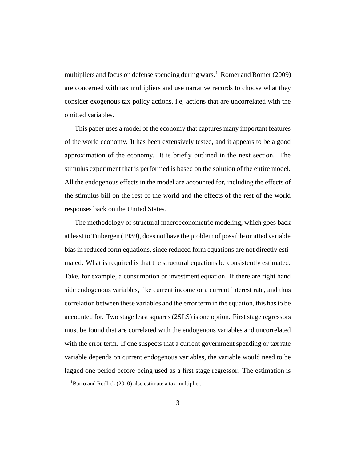multipliers and focus on defense spending during wars.<sup>1</sup> Romer and Romer (2009) are concerned with tax multipliers and use narrative records to choose what they consider exogenous tax policy actions, i.e, actions that are uncorrelated with the omitted variables.

This paper uses a model of the economy that captures many important features of the world economy. It has been extensively tested, and it appears to be a good approximation of the economy. It is briefly outlined in the next section. The stimulus experiment that is performed is based on the solution of the entire model. All the endogenous effects in the model are accounted for, including the effects of the stimulus bill on the rest of the world and the effects of the rest of the world responses back on the United States.

The methodology of structural macroeconometric modeling, which goes back at least to Tinbergen (1939), does not have the problem of possible omitted variable bias in reduced form equations, since reduced form equations are not directly estimated. What is required is that the structural equations be consistently estimated. Take, for example, a consumption or investment equation. If there are right hand side endogenous variables, like current income or a current interest rate, and thus correlation between these variables and the error term in the equation, this has to be accounted for. Two stage least squares (2SLS) is one option. First stage regressors must be found that are correlated with the endogenous variables and uncorrelated with the error term. If one suspects that a current government spending or tax rate variable depends on current endogenous variables, the variable would need to be lagged one period before being used as a first stage regressor. The estimation is

 $1$ Barro and Redlick (2010) also estimate a tax multiplier.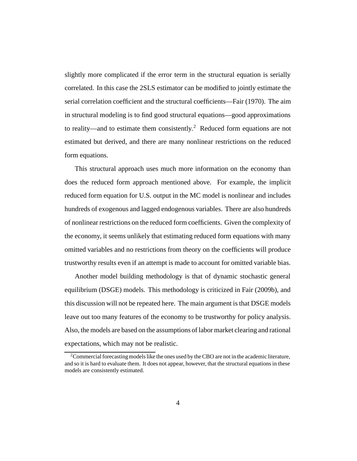slightly more complicated if the error term in the structural equation is serially correlated. In this case the 2SLS estimator can be modified to jointly estimate the serial correlation coefficient and the structural coefficients—Fair (1970). The aim in structural modeling is to find good structural equations—good approximations to reality—and to estimate them consistently.<sup>2</sup> Reduced form equations are not estimated but derived, and there are many nonlinear restrictions on the reduced form equations.

This structural approach uses much more information on the economy than does the reduced form approach mentioned above. For example, the implicit reduced form equation for U.S. output in the MC model is nonlinear and includes hundreds of exogenous and lagged endogenous variables. There are also hundreds of nonlinear restrictions on the reduced form coefficients. Given the complexity of the economy, it seems unlikely that estimating reduced form equations with many omitted variables and no restrictions from theory on the coefficients will produce trustworthy results even if an attempt is made to account for omitted variable bias.

Another model building methodology is that of dynamic stochastic general equilibrium (DSGE) models. This methodology is criticized in Fair (2009b), and this discussion will not be repeated here. The main argument is that DSGE models leave out too many features of the economy to be trustworthy for policy analysis. Also, the models are based on the assumptions of labor market clearing and rational expectations, which may not be realistic.

<sup>&</sup>lt;sup>2</sup>Commercial forecasting models like the ones used by the CBO are not in the academic literature, and so it is hard to evaluate them. It does not appear, however, that the structural equations in these models are consistently estimated.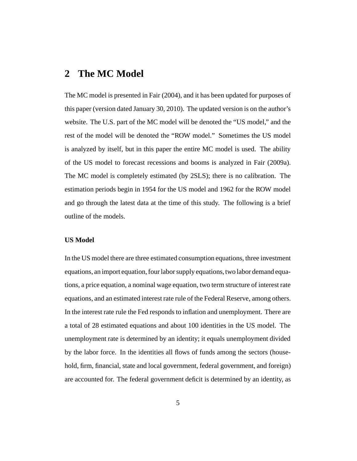# **2 The MC Model**

The MC model is presented in Fair (2004), and it has been updated for purposes of this paper (version dated January 30, 2010). The updated version is on the author's website. The U.S. part of the MC model will be denoted the "US model," and the rest of the model will be denoted the "ROW model." Sometimes the US model is analyzed by itself, but in this paper the entire MC model is used. The ability of the US model to forecast recessions and booms is analyzed in Fair (2009a). The MC model is completely estimated (by 2SLS); there is no calibration. The estimation periods begin in 1954 for the US model and 1962 for the ROW model and go through the latest data at the time of this study. The following is a brief outline of the models.

#### **US Model**

In the US model there are three estimated consumption equations, three investment equations, an import equation, four labor supply equations, two labor demand equations, a price equation, a nominal wage equation, two term structure of interest rate equations, and an estimated interest rate rule of the Federal Reserve, among others. In the interest rate rule the Fed responds to inflation and unemployment. There are a total of 28 estimated equations and about 100 identities in the US model. The unemployment rate is determined by an identity; it equals unemployment divided by the labor force. In the identities all flows of funds among the sectors (household, firm, financial, state and local government, federal government, and foreign) are accounted for. The federal government deficit is determined by an identity, as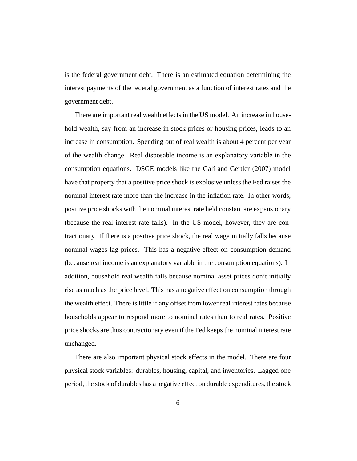is the federal government debt. There is an estimated equation determining the interest payments of the federal government as a function of interest rates and the government debt.

There are important real wealth effects in the US model. An increase in household wealth, say from an increase in stock prices or housing prices, leads to an increase in consumption. Spending out of real wealth is about 4 percent per year of the wealth change. Real disposable income is an explanatory variable in the consumption equations. DSGE models like the Galí and Gertler (2007) model have that property that a positive price shock is explosive unless the Fed raises the nominal interest rate more than the increase in the inflation rate. In other words, positive price shocks with the nominal interest rate held constant are expansionary (because the real interest rate falls). In the US model, however, they are contractionary. If there is a positive price shock, the real wage initially falls because nominal wages lag prices. This has a negative effect on consumption demand (because real income is an explanatory variable in the consumption equations). In addition, household real wealth falls because nominal asset prices don't initially rise as much as the price level. This has a negative effect on consumption through the wealth effect. There is little if any offset from lower real interest rates because households appear to respond more to nominal rates than to real rates. Positive price shocks are thus contractionary even if the Fed keeps the nominal interest rate unchanged.

There are also important physical stock effects in the model. There are four physical stock variables: durables, housing, capital, and inventories. Lagged one period, the stock of durables has a negative effect on durable expenditures, the stock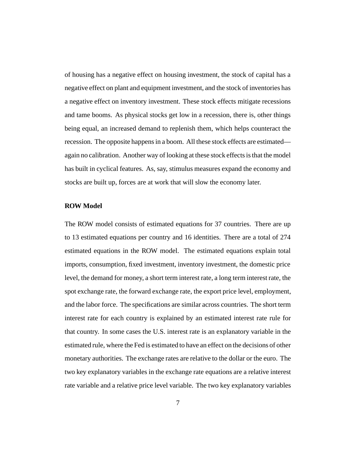of housing has a negative effect on housing investment, the stock of capital has a negative effect on plant and equipment investment, and the stock of inventories has a negative effect on inventory investment. These stock effects mitigate recessions and tame booms. As physical stocks get low in a recession, there is, other things being equal, an increased demand to replenish them, which helps counteract the recession. The opposite happens in a boom. All these stock effects are estimated again no calibration. Another way of looking at these stock effects is that the model has built in cyclical features. As, say, stimulus measures expand the economy and stocks are built up, forces are at work that will slow the economy later.

#### **ROW Model**

The ROW model consists of estimated equations for 37 countries. There are up to 13 estimated equations per country and 16 identities. There are a total of 274 estimated equations in the ROW model. The estimated equations explain total imports, consumption, fixed investment, inventory investment, the domestic price level, the demand for money, a short term interest rate, a long term interest rate, the spot exchange rate, the forward exchange rate, the export price level, employment, and the labor force. The specifications are similar across countries. The short term interest rate for each country is explained by an estimated interest rate rule for that country. In some cases the U.S. interest rate is an explanatory variable in the estimated rule, where the Fed is estimated to have an effect on the decisions of other monetary authorities. The exchange rates are relative to the dollar or the euro. The two key explanatory variables in the exchange rate equations are a relative interest rate variable and a relative price level variable. The two key explanatory variables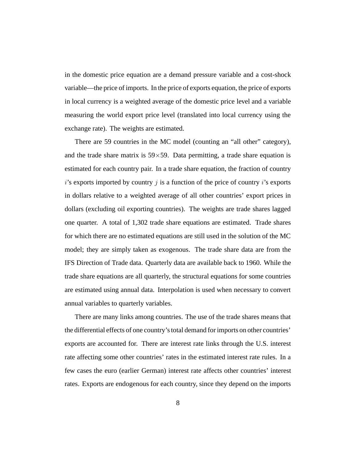in the domestic price equation are a demand pressure variable and a cost-shock variable—the price of imports. In the price of exports equation, the price of exports in local currency is a weighted average of the domestic price level and a variable measuring the world export price level (translated into local currency using the exchange rate). The weights are estimated.

There are 59 countries in the MC model (counting an "all other" category), and the trade share matrix is  $59\times59$ . Data permitting, a trade share equation is estimated for each country pair. In a trade share equation, the fraction of country *i*'s exports imported by country *j* is a function of the price of country *i*'s exports in dollars relative to a weighted average of all other countries' export prices in dollars (excluding oil exporting countries). The weights are trade shares lagged one quarter. A total of 1,302 trade share equations are estimated. Trade shares for which there are no estimated equations are still used in the solution of the MC model; they are simply taken as exogenous. The trade share data are from the IFS Direction of Trade data. Quarterly data are available back to 1960. While the trade share equations are all quarterly, the structural equations for some countries are estimated using annual data. Interpolation is used when necessary to convert annual variables to quarterly variables.

There are many links among countries. The use of the trade shares means that the differential effects of one country's total demand for imports on other countries' exports are accounted for. There are interest rate links through the U.S. interest rate affecting some other countries' rates in the estimated interest rate rules. In a few cases the euro (earlier German) interest rate affects other countries' interest rates. Exports are endogenous for each country, since they depend on the imports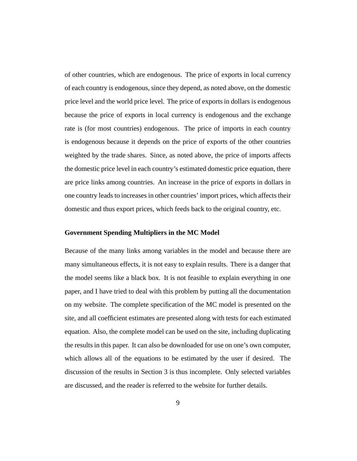of other countries, which are endogenous. The price of exports in local currency of each country is endogenous, since they depend, as noted above, on the domestic price level and the world price level. The price of exports in dollars is endogenous because the price of exports in local currency is endogenous and the exchange rate is (for most countries) endogenous. The price of imports in each country is endogenous because it depends on the price of exports of the other countries weighted by the trade shares. Since, as noted above, the price of imports affects the domestic price level in each country's estimated domestic price equation, there are price links among countries. An increase in the price of exports in dollars in one country leads to increases in other countries' import prices, which affects their domestic and thus export prices, which feeds back to the original country, etc.

#### **Government Spending Multipliers in the MC Model**

Because of the many links among variables in the model and because there are many simultaneous effects, it is not easy to explain results. There is a danger that the model seems like a black box. It is not feasible to explain everything in one paper, and I have tried to deal with this problem by putting all the documentation on my website. The complete specification of the MC model is presented on the site, and all coefficient estimates are presented along with tests for each estimated equation. Also, the complete model can be used on the site, including duplicating the results in this paper. It can also be downloaded for use on one's own computer, which allows all of the equations to be estimated by the user if desired. The discussion of the results in Section 3 is thus incomplete. Only selected variables are discussed, and the reader is referred to the website for further details.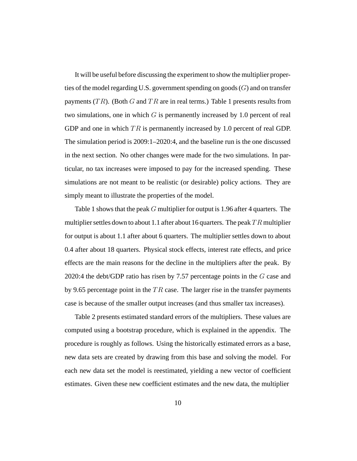It will be useful before discussing the experiment to show the multiplier properties of the model regarding U.S. government spending on goods (*G*) and on transfer payments (*T R*). (Both *G* and *T R* are in real terms.) Table 1 presents results from two simulations, one in which *G* is permanently increased by 1.0 percent of real GDP and one in which *T R* is permanently increased by 1.0 percent of real GDP. The simulation period is 2009:1–2020:4, and the baseline run is the one discussed in the next section. No other changes were made for the two simulations. In particular, no tax increases were imposed to pay for the increased spending. These simulations are not meant to be realistic (or desirable) policy actions. They are simply meant to illustrate the properties of the model.

Table 1 shows that the peak *G* multiplier for output is 1.96 after 4 quarters. The multiplier settles down to about 1.1 after about 16 quarters. The peak *T R* multiplier for output is about 1.1 after about 6 quarters. The multiplier settles down to about 0.4 after about 18 quarters. Physical stock effects, interest rate effects, and price effects are the main reasons for the decline in the multipliers after the peak. By 2020:4 the debt/GDP ratio has risen by 7.57 percentage points in the *G* case and by 9.65 percentage point in the *T R* case. The larger rise in the transfer payments case is because of the smaller output increases (and thus smaller tax increases).

Table 2 presents estimated standard errors of the multipliers. These values are computed using a bootstrap procedure, which is explained in the appendix. The procedure is roughly as follows. Using the historically estimated errors as a base, new data sets are created by drawing from this base and solving the model. For each new data set the model is reestimated, yielding a new vector of coefficient estimates. Given these new coefficient estimates and the new data, the multiplier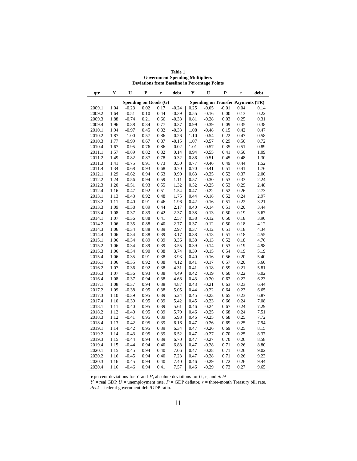| qtr                   | Y    | U       | P    | r    | debt    | Y                                         | U       | $\mathbf P$ | r    | debt |
|-----------------------|------|---------|------|------|---------|-------------------------------------------|---------|-------------|------|------|
| Spending on Goods (G) |      |         |      |      |         | <b>Spending on Transfer Payments (TR)</b> |         |             |      |      |
| 2009.1                | 1.04 | $-0.23$ | 0.02 | 0.17 | $-0.24$ | 0.25                                      | $-0.05$ | $-0.01$     | 0.04 | 0.14 |
| 2009.2                | 1.64 | $-0.51$ | 0.10 | 0.44 | $-0.39$ | 0.55                                      | $-0.16$ | 0.00        | 0.13 | 0.22 |
| 2009.3                | 1.88 | $-0.74$ | 0.21 | 0.66 | $-0.38$ | 0.81                                      | $-0.28$ | 0.03        | 0.25 | 0.31 |
| 2009.4                | 1.96 | $-0.88$ | 0.34 | 0.77 | $-0.37$ | 0.99                                      | $-0.39$ | 0.09        | 0.35 | 0.38 |
| 2010.1                | 1.94 | $-0.97$ | 0.45 | 0.82 | $-0.33$ | 1.08                                      | $-0.48$ | 0.15        | 0.42 | 0.47 |
| 2010.2                | 1.87 | $-1.00$ | 0.57 | 0.86 | $-0.26$ | 1.10                                      | $-0.54$ | 0.22        | 0.47 | 0.58 |
| 2010.3                | 1.77 | $-0.99$ | 0.67 | 0.87 | $-0.15$ | 1.07                                      | $-0.57$ | 0.29        | 0.50 | 0.72 |
| 2010.4                | 1.67 | $-0.95$ | 0.76 | 0.86 | $-0.02$ | 1.01                                      | $-0.57$ | 0.35        | 0.51 | 0.89 |
| 2011.1                | 1.57 | $-0.89$ | 0.82 | 0.82 | 0.14    | 0.94                                      | $-0.55$ | 0.41        | 0.50 | 1.09 |
| 2011.2                | 1.49 | $-0.82$ | 0.87 | 0.78 | 0.32    | 0.86                                      | $-0.51$ | 0.45        | 0.48 | 1.30 |
| 2011.3                | 1.41 | $-0.75$ | 0.91 | 0.73 | 0.50    | 0.77                                      | $-0.46$ | 0.49        | 0.44 | 1.52 |
| 2011.4                | 1.34 | $-0.68$ | 0.93 | 0.68 | 0.70    | 0.70                                      | $-0.41$ | 0.51        | 0.41 | 1.76 |
| 2012.1                | 1.29 | $-0.62$ | 0.94 | 0.63 | 0.90    | 0.63                                      | $-0.35$ | 0.52        | 0.37 | 2.00 |
| 2012.2                | 1.24 | $-0.56$ | 0.94 | 0.59 | 1.11    | 0.57                                      | $-0.30$ | 0.53        | 0.33 | 2.24 |
| 2012.3                | 1.20 | $-0.51$ | 0.93 | 0.55 | 1.32    | 0.52                                      | $-0.25$ | 0.53        | 0.29 | 2.48 |
| 2012.4                | 1.16 | $-0.47$ | 0.92 | 0.51 | 1.54    | 0.47                                      | $-0.22$ | 0.52        | 0.26 | 2.73 |
| 2013.1                | 1.13 | $-0.43$ | 0.92 | 0.48 | 1.75    | 0.44                                      | $-0.18$ | 0.52        | 0.24 | 2.97 |
| 2013.2                | 1.11 | $-0.40$ | 0.91 | 0.46 | 1.96    | 0.42                                      | $-0.16$ | 0.51        | 0.22 | 3.21 |
| 2013.3                | 1.09 | $-0.38$ | 0.89 | 0.44 | 2.17    | 0.40                                      | $-0.14$ | 0.51        | 0.20 | 3.44 |
| 2013.4                | 1.08 | $-0.37$ | 0.89 | 0.42 | 2.37    | 0.38                                      | $-0.13$ | 0.50        | 0.19 | 3.67 |
| 2014.1                | 1.07 | $-0.36$ | 0.88 | 0.41 | 2.57    | 0.38                                      | $-0.12$ | 0.50        | 0.18 | 3.90 |
| 2014.2                | 1.06 | $-0.35$ | 0.88 | 0.40 | 2.77    | 0.37                                      | $-0.12$ | 0.50        | 0.18 | 4.12 |
| 2014.3                | 1.06 | $-0.34$ | 0.88 | 0.39 | 2.97    | 0.37                                      | $-0.12$ | 0.51        | 0.18 | 4.34 |
| 2014.4                | 1.06 | $-0.34$ | 0.88 | 0.39 | 3.17    | 0.38                                      | $-0.13$ | 0.51        | 0.18 | 4.55 |
| 2015.1                | 1.06 | $-0.34$ | 0.89 | 0.39 | 3.36    | 0.38                                      | $-0.13$ | 0.52        | 0.18 | 4.76 |
| 2015.2                | 1.06 | $-0.34$ | 0.89 | 0.39 | 3.55    | 0.39                                      | $-0.14$ | 0.53        | 0.19 | 4.98 |
| 2015.3                | 1.06 | $-0.34$ | 0.90 | 0.38 | 3.74    | 0.39                                      | $-0.15$ | 0.54        | 0.19 | 5.19 |
| 2015.4                | 1.06 | $-0.35$ | 0.91 | 0.38 | 3.93    | 0.40                                      | $-0.16$ | 0.56        | 0.20 | 5.40 |
| 2016.1                | 1.06 | $-0.35$ | 0.92 | 0.38 | 4.12    | 0.41                                      | $-0.17$ | 0.57        | 0.20 | 5.60 |
| 2016.2                | 1.07 | $-0.36$ | 0.92 | 0.38 | 4.31    | 0.41                                      | $-0.18$ | 0.59        | 0.21 | 5.81 |
| 2016.3                | 1.07 | $-0.36$ | 0.93 | 0.38 | 4.49    | 0.42                                      | $-0.19$ | 0.60        | 0.22 | 6.02 |
| 2016.4                | 1.08 | $-0.37$ | 0.94 | 0.38 | 4.68    | 0.43                                      | $-0.20$ | 0.62        | 0.22 | 6.23 |
| 2017.1                | 1.08 | $-0.37$ | 0.94 | 0.38 | 4.87    | 0.43                                      | $-0.21$ | 0.63        | 0.23 | 6.44 |
| 2017.2                | 1.09 | $-0.38$ | 0.95 | 0.38 | 5.05    | 0.44                                      | $-0.22$ | 0.64        | 0.23 | 6.65 |
| 2017.3                | 1.10 | $-0.39$ | 0.95 | 0.39 | 5.24    | 0.45                                      | $-0.23$ | 0.65        | 0.23 | 6.87 |
| 2017.4                | 1.10 | $-0.39$ | 0.95 | 0.39 | 5.42    | 0.45                                      | $-0.23$ | 0.66        | 0.24 | 7.08 |
| 2018.1                | 1.11 | $-0.40$ | 0.95 | 0.39 | 5.61    | 0.46                                      | $-0.24$ | 0.67        | 0.24 | 7.29 |
| 2018.2                | 1.12 | $-0.40$ | 0.95 | 0.39 | 5.79    | 0.46                                      | $-0.25$ | 0.68        | 0.24 | 7.51 |
| 2018.3                | 1.12 | $-0.41$ | 0.95 | 0.39 | 5.98    | 0.46                                      | $-0.25$ | 0.68        | 0.25 | 7.72 |
| 2018.4                | 1.13 | $-0.42$ | 0.95 | 0.39 | 6.16    | 0.47                                      | $-0.26$ | 0.69        | 0.25 | 7.94 |
| 2019.1                | 1.14 | $-0.42$ | 0.95 | 0.39 | 6.34    | 0.47                                      | $-0.26$ | 0.69        | 0.25 | 8.15 |
| 2019.2                | 1.14 | $-0.43$ | 0.95 | 0.39 | 6.52    | 0.47                                      | $-0.27$ | 0.70        | 0.25 | 8.37 |
| 2019.3                | 1.15 | $-0.44$ | 0.94 | 0.39 | 6.70    | 0.47                                      | $-0.27$ | 0.70        | 0.26 | 8.58 |
| 2019.4                | 1.15 | $-0.44$ | 0.94 | 0.40 | 6.88    | 0.47                                      | $-0.28$ | 0.71        | 0.26 | 8.80 |
| 2020.1                | 1.15 | $-0.45$ | 0.94 | 0.40 | 7.06    | 0.47                                      | $-0.28$ | 0.71        | 0.26 | 9.02 |
| 2020.2                | 1.16 | $-0.45$ | 0.94 | 0.40 | 7.23    | 0.47                                      | $-0.28$ | 0.71        | 0.26 | 9.23 |
| 2020.3                | 1.16 | $-0.45$ | 0.94 | 0.40 | 7.40    | 0.46                                      | $-0.29$ | 0.72        | 0.26 | 9.44 |
| 2020.4                | 1.16 | $-0.46$ | 0.94 | 0.41 | 7.57    | 0.46                                      | $-0.29$ | 0.73        | 0.27 | 9.65 |

**Table 1 Government Spending Multipliers Deviations from Baseline in Percentage Points**

• percent deviations for Y and P, absolute deviations for U, r, and debt.<br>
Y = real GDP, U = unemployment rate,  $P =$  GDP deflator,  $r =$  three-month Treasury bill rate, *debt* = federal government debt/GDP ratio.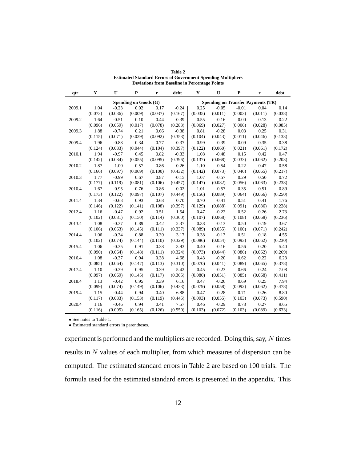| Table 2                                                             |
|---------------------------------------------------------------------|
| <b>Estimated Standard Errors of Government Spending Multipliers</b> |
| <b>Deviations from Baseline in Percentage Points</b>                |

| qtr                   | Y       | $\mathbf{U}$ | P       | r       | debt    | Y                                         | U       | P       | r       | debt    |  |
|-----------------------|---------|--------------|---------|---------|---------|-------------------------------------------|---------|---------|---------|---------|--|
| Spending on Goods (G) |         |              |         |         |         | <b>Spending on Transfer Payments (TR)</b> |         |         |         |         |  |
| 2009.1                | 1.04    | $-0.23$      | 0.02    | 0.17    | $-0.24$ | 0.25                                      | $-0.05$ | $-0.01$ | 0.04    | 0.14    |  |
|                       | (0.073) | (0.036)      | (0.009) | (0.037) | (0.167) | (0.035)                                   | (0.011) | (0.003) | (0.011) | (0.038) |  |
| 2009.2                | 1.64    | $-0.51$      | 0.10    | 0.44    | $-0.39$ | 0.55                                      | $-0.16$ | 0.00    | 0.13    | 0.22    |  |
|                       | (0.096) | (0.059)      | (0.017) | (0.078) | (0.283) | (0.069)                                   | (0.027) | (0.006) | (0.028) | (0.085) |  |
| 2009.3                | 1.88    | $-0.74$      | 0.21    | 0.66    | $-0.38$ | 0.81                                      | $-0.28$ | 0.03    | 0.25    | 0.31    |  |
|                       | (0.115) | (0.071)      | (0.029) | (0.092) | (0.353) | (0.104)                                   | (0.043) | (0.011) | (0.046) | (0.133) |  |
| 2009.4                | 1.96    | $-0.88$      | 0.34    | 0.77    | $-0.37$ | 0.99                                      | $-0.39$ | 0.09    | 0.35    | 0.38    |  |
|                       | (0.124) | (0.083)      | (0.044) | (0.104) | (0.397) | (0.122)                                   | (0.060) | (0.021) | (0.061) | (0.172) |  |
| 2010.1                | 1.94    | $-0.97$      | 0.45    | 0.82    | $-0.33$ | 1.08                                      | $-0.48$ | 0.15    | 0.42    | 0.47    |  |
|                       | (0.142) | (0.084)      | (0.055) | (0.095) | (0.396) | (0.137)                                   | (0.068) | (0.033) | (0.062) | (0.203) |  |
| 2010.2                | 1.87    | $-1.00$      | 0.57    | 0.86    | $-0.26$ | 1.10                                      | $-0.54$ | 0.22    | 0.47    | 0.58    |  |
|                       | (0.166) | (0.097)      | (0.069) | (0.100) | (0.432) | (0.142)                                   | (0.073) | (0.046) | (0.065) | (0.217) |  |
| 2010.3                | 1.77    | $-0.99$      | 0.67    | 0.87    | $-0.15$ | 1.07                                      | $-0.57$ | 0.29    | 0.50    | 0.72    |  |
|                       | (0.177) | (0.119)      | (0.081) | (0.106) | (0.457) | (0.147)                                   | (0.082) | (0.056) | (0.063) | (0.238) |  |
| 2010.4                | 1.67    | $-0.95$      | 0.76    | 0.86    | $-0.02$ | 1.01                                      | $-0.57$ | 0.35    | 0.51    | 0.89    |  |
|                       | (0.173) | (0.122)      | (0.097) | (0.107) | (0.449) | (0.156)                                   | (0.089) | (0.064) | (0.066) | (0.250) |  |
| 2011.4                | 1.34    | $-0.68$      | 0.93    | 0.68    | 0.70    | 0.70                                      | $-0.41$ | 0.51    | 0.41    | 1.76    |  |
|                       | (0.146) | (0.122)      | (0.141) | (0.108) | (0.397) | (0.129)                                   | (0.088) | (0.091) | (0.086) | (0.228) |  |
| 2012.4                | 1.16    | $-0.47$      | 0.92    | 0.51    | 1.54    | 0.47                                      | $-0.22$ | 0.52    | 0.26    | 2.73    |  |
|                       | (0.102) | (0.081)      | (0.150) | (0.114) | (0.360) | (0.107)                                   | (0.068) | (0.108) | (0.068) | (0.236) |  |
| 2013.4                | 1.08    | $-0.37$      | 0.89    | 0.42    | 2.37    | 0.38                                      | $-0.13$ | 0.50    | 0.19    | 3.67    |  |
|                       | (0.106) | (0.063)      | (0.145) | (0.111) | (0.337) | (0.089)                                   | (0.055) | (0.100) | (0.071) | (0.242) |  |
| 2014.4                | 1.06    | $-0.34$      | 0.88    | 0.39    | 3.17    | 0.38                                      | $-0.13$ | 0.51    | 0.18    | 4.55    |  |
|                       | (0.102) | (0.074)      | (0.144) | (0.110) | (0.329) | (0.086)                                   | (0.054) | (0.093) | (0.062) | (0.230) |  |
| 2015.4                | 1.06    | $-0.35$      | 0.91    | 0.38    | 3.93    | 0.40                                      | $-0.16$ | 0.56    | 0.20    | 5.40    |  |
|                       | (0.090) | (0.064)      | (0.148) | (0.111) | (0.324) | (0.073)                                   | (0.044) | (0.086) | (0.062) | (0.269) |  |
| 2016.4                | 1.08    | $-0.37$      | 0.94    | 0.38    | 4.68    | 0.43                                      | $-0.20$ | 0.62    | 0.22    | 6.23    |  |
|                       | (0.085) | (0.064)      | (0.147) | (0.113) | (0.310) | (0.070)                                   | (0.041) | (0.089) | (0.065) | (0.378) |  |
| 2017.4                | 1.10    | $-0.39$      | 0.95    | 0.39    | 5.42    | 0.45                                      | $-0.23$ | 0.66    | 0.24    | 7.08    |  |
|                       | (0.097) | (0.069)      | (0.145) | (0.117) | (0.365) | (0.080)                                   | (0.051) | (0.085) | (0.068) | (0.411) |  |
| 2018.4                | 1.13    | $-0.42$      | 0.95    | 0.39    | 6.16    | 0.47                                      | $-0.26$ | 0.69    | 0.25    | 7.94    |  |
|                       | (0.099) | (0.074)      | (0.149) | (0.106) | (0.433) | (0.079)                                   | (0.058) | (0.092) | (0.062) | (0.478) |  |
| 2019.4                | 1.15    | $-0.44$      | 0.94    | 0.40    | 6.88    | 0.47                                      | $-0.28$ | 0.71    | 0.26    | 8.80    |  |
|                       | (0.117) | (0.083)      | (0.153) | (0.119) | (0.445) | (0.093)                                   | (0.055) | (0.103) | (0.073) | (0.590) |  |
| 2020.4                | 1.16    | $-0.46$      | 0.94    | 0.41    | 7.57    | 0.46                                      | $-0.29$ | 0.73    | 0.27    | 9.65    |  |
|                       | (0.116) | (0.095)      | (0.165) | (0.126) | (0.550) | (0.103)                                   | (0.072) | (0.103) | (0.089) | (0.633) |  |

*•* See notes to Table 1.

*•* Estimated standard errors in parentheses.

experiment is performed and the multipliers are recorded. Doing this, say, *N* times results in *N* values of each multiplier, from which measures of dispersion can be computed. The estimated standard errors in Table 2 are based on 100 trials. The formula used for the estimated standard errors is presented in the appendix. This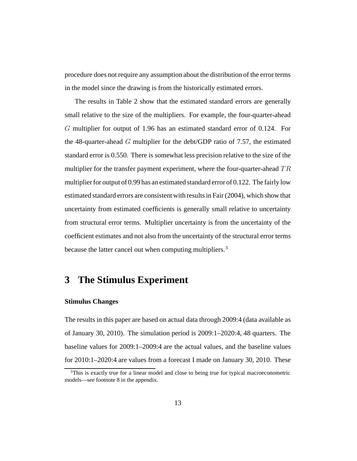procedure does not require any assumption about the distribution of the error terms in the model since the drawing is from the historically estimated errors.

The results in Table 2 show that the estimated standard errors are generally small relative to the size of the multipliers. For example, the four-quarter-ahead *G* multiplier for output of 1.96 has an estimated standard error of 0.124. For the 48-quarter-ahead *G* multiplier for the debt/GDP ratio of 7.57, the estimated standard error is 0.550. There is somewhat less precision relative to the size of the multiplier for the transfer payment experiment, where the four-quarter-ahead *T R* multiplier for output of 0.99 has an estimated standard error of 0.122. The fairly low estimated standard errors are consistent with results in Fair (2004), which show that uncertainty from estimated coefficients is generally small relative to uncertainty from structural error terms. Multiplier uncertainty is from the uncertainty of the coefficient estimates and not also from the uncertainty of the structural error terms because the latter cancel out when computing multipliers.<sup>3</sup>

# **3 The Stimulus Experiment**

#### **Stimulus Changes**

The results in this paper are based on actual data through 2009:4 (data available as of January 30, 2010). The simulation period is 2009:1–2020:4, 48 quarters. The baseline values for 2009:1–2009:4 are the actual values, and the baseline values for 2010:1–2020:4 are values from a forecast I made on January 30, 2010. These

<sup>&</sup>lt;sup>3</sup>This is exactly true for a linear model and close to being true for typical macroeconometric models—see footnote 8 in the appendix.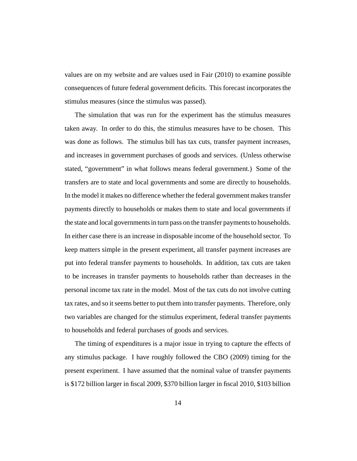values are on my website and are values used in Fair (2010) to examine possible consequences of future federal government deficits. This forecast incorporates the stimulus measures (since the stimulus was passed).

The simulation that was run for the experiment has the stimulus measures taken away. In order to do this, the stimulus measures have to be chosen. This was done as follows. The stimulus bill has tax cuts, transfer payment increases, and increases in government purchases of goods and services. (Unless otherwise stated, "government" in what follows means federal government.) Some of the transfers are to state and local governments and some are directly to households. In the model it makes no difference whether the federal government makes transfer payments directly to households or makes them to state and local governments if the state and local governments in turn pass on the transfer payments to households. In either case there is an increase in disposable income of the household sector. To keep matters simple in the present experiment, all transfer payment increases are put into federal transfer payments to households. In addition, tax cuts are taken to be increases in transfer payments to households rather than decreases in the personal income tax rate in the model. Most of the tax cuts do not involve cutting tax rates, and so it seems better to put them into transfer payments. Therefore, only two variables are changed for the stimulus experiment, federal transfer payments to households and federal purchases of goods and services.

The timing of expenditures is a major issue in trying to capture the effects of any stimulus package. I have roughly followed the CBO (2009) timing for the present experiment. I have assumed that the nominal value of transfer payments is \$172 billion larger in fiscal 2009, \$370 billion larger in fiscal 2010, \$103 billion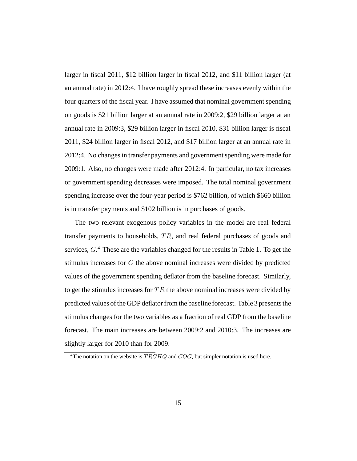larger in fiscal 2011, \$12 billion larger in fiscal 2012, and \$11 billion larger (at an annual rate) in 2012:4. I have roughly spread these increases evenly within the four quarters of the fiscal year. I have assumed that nominal government spending on goods is \$21 billion larger at an annual rate in 2009:2, \$29 billion larger at an annual rate in 2009:3, \$29 billion larger in fiscal 2010, \$31 billion larger is fiscal 2011, \$24 billion larger in fiscal 2012, and \$17 billion larger at an annual rate in 2012:4. No changes in transfer payments and government spending were made for 2009:1. Also, no changes were made after 2012:4. In particular, no tax increases or government spending decreases were imposed. The total nominal government spending increase over the four-year period is \$762 billion, of which \$660 billion is in transfer payments and \$102 billion is in purchases of goods.

The two relevant exogenous policy variables in the model are real federal transfer payments to households, *T R*, and real federal purchases of goods and services, *G*. <sup>4</sup> These are the variables changed for the results in Table 1. To get the stimulus increases for *G* the above nominal increases were divided by predicted values of the government spending deflator from the baseline forecast. Similarly, to get the stimulus increases for *T R* the above nominal increases were divided by predicted values of the GDP deflator from the baseline forecast. Table 3 presents the stimulus changes for the two variables as a fraction of real GDP from the baseline forecast. The main increases are between 2009:2 and 2010:3. The increases are slightly larger for 2010 than for 2009.

<sup>&</sup>lt;sup>4</sup>The notation on the website is *TRGHQ* and *COG*, but simpler notation is used here.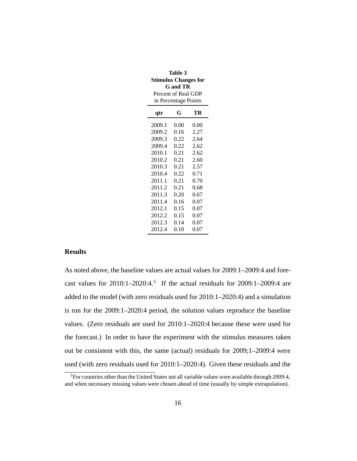| G and TR            |                      |      |  |  |  |  |  |  |
|---------------------|----------------------|------|--|--|--|--|--|--|
| Percent of Real GDP |                      |      |  |  |  |  |  |  |
|                     | in Percentage Points |      |  |  |  |  |  |  |
| qtr                 | G                    | TR   |  |  |  |  |  |  |
| 2009.1              | 0.00                 | 0.00 |  |  |  |  |  |  |
| 2009.2              | 0.16                 | 2.27 |  |  |  |  |  |  |
| 2009.3              | 0.22                 | 2.64 |  |  |  |  |  |  |
| 2009.4              | 0.22                 | 2.62 |  |  |  |  |  |  |
| 2010.1              | 0.21                 | 2.62 |  |  |  |  |  |  |
| 2010.2              | 0.21                 | 2.60 |  |  |  |  |  |  |
| 2010.3              | 0.21                 | 2.57 |  |  |  |  |  |  |
| 2010.4              | 0.22                 | 0.71 |  |  |  |  |  |  |
| 2011.1              | 0.21                 | 0.70 |  |  |  |  |  |  |
| 2011.2              | 0.21                 | 0.68 |  |  |  |  |  |  |
| 2011.3              | 0.20                 | 0.67 |  |  |  |  |  |  |
| 2011.4              | 0.16                 | 0.07 |  |  |  |  |  |  |
| 2012.1              | 0.15                 | 0.07 |  |  |  |  |  |  |
| 2012.2              | 0.15                 | 0.07 |  |  |  |  |  |  |
| 2012.3              | 0.14                 | 0.07 |  |  |  |  |  |  |
| 2012.4              | 0.10                 | 0.07 |  |  |  |  |  |  |

**Table 3 Stimulus Changes for**

#### **Results**

As noted above, the baseline values are actual values for 2009:1–2009:4 and forecast values for  $2010:1-2020:4.^5$  If the actual residuals for  $2009:1-2009:4$  are added to the model (with zero residuals used for 2010:1–2020:4) and a simulation is run for the 2009:1–2020:4 period, the solution values reproduce the baseline values. (Zero residuals are used for 2010:1–2020:4 because these were used for the forecast.) In order to have the experiment with the stimulus measures taken out be consistent with this, the same (actual) residuals for 2009;1–2009:4 were used (with zero residuals used for 2010:1–2020:4). Given these residuals and the

<sup>5</sup>For countries other than the United States not all variable values were available through 2009:4, and when necessary missing values were chosen ahead of time (usually by simple extrapolation).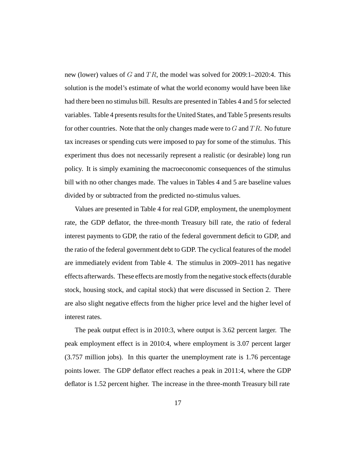new (lower) values of *G* and *T R*, the model was solved for 2009:1–2020:4. This solution is the model's estimate of what the world economy would have been like had there been no stimulus bill. Results are presented in Tables 4 and 5 for selected variables. Table 4 presents results for the United States, and Table 5 presents results for other countries. Note that the only changes made were to *G* and *T R*. No future tax increases or spending cuts were imposed to pay for some of the stimulus. This experiment thus does not necessarily represent a realistic (or desirable) long run policy. It is simply examining the macroeconomic consequences of the stimulus bill with no other changes made. The values in Tables 4 and 5 are baseline values divided by or subtracted from the predicted no-stimulus values.

Values are presented in Table 4 for real GDP, employment, the unemployment rate, the GDP deflator, the three-month Treasury bill rate, the ratio of federal interest payments to GDP, the ratio of the federal government deficit to GDP, and the ratio of the federal government debt to GDP. The cyclical features of the model are immediately evident from Table 4. The stimulus in 2009–2011 has negative effects afterwards. These effects are mostly from the negative stock effects (durable stock, housing stock, and capital stock) that were discussed in Section 2. There are also slight negative effects from the higher price level and the higher level of interest rates.

The peak output effect is in 2010:3, where output is 3.62 percent larger. The peak employment effect is in 2010:4, where employment is 3.07 percent larger (3.757 million jobs). In this quarter the unemployment rate is 1.76 percentage points lower. The GDP deflator effect reaches a peak in 2011:4, where the GDP deflator is 1.52 percent higher. The increase in the three-month Treasury bill rate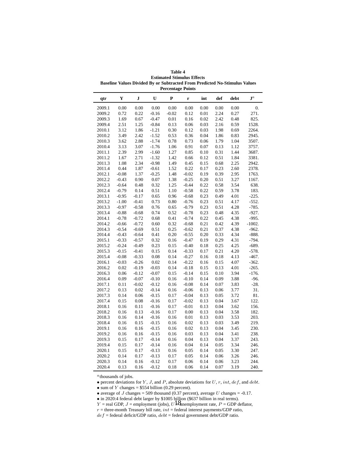| <b>Estimated Stimulus Effects</b><br><b>Baseline Values Divided By or Subtracted From Predicted No-Stimulus Values</b><br><b>Percentage Points</b> |      |      |         |         |      |      |       |      |             |
|----------------------------------------------------------------------------------------------------------------------------------------------------|------|------|---------|---------|------|------|-------|------|-------------|
| qtr                                                                                                                                                | Y    |      | U       | Р       | r    | int  | def   | debt | ${\bf J}^a$ |
| 2009.1                                                                                                                                             | 0.00 | 0.00 | 0.00    | 0.00    | 0.00 | 0.00 | 0.00  | 0.00 | $\Omega$    |
| 2009.2                                                                                                                                             | 0.72 | 0.22 | $-0.16$ | $-0.02$ | 0.12 | 0.01 | 2.24  | 0.27 | 271.        |
| 2009.3                                                                                                                                             | 1.69 | 0.67 | $-0.47$ | 0.01    | 0.16 | 0.02 | 2.42. | 0.48 | 825.        |

**Table 4**

| պա               |              | J            | U                  |              |                      | ш            | ucı          | ucvi         |              |
|------------------|--------------|--------------|--------------------|--------------|----------------------|--------------|--------------|--------------|--------------|
| 2009.1           | 0.00         | 0.00         | 0.00               | 0.00         | 0.00                 | 0.00         | 0.00         | 0.00         | 0.           |
| 2009.2           | 0.72         | 0.22         | $-0.16$            | $-0.02$      | 0.12                 | 0.01         | 2.24         | 0.27         | 271.         |
| 2009.3           | 1.69         | 0.67         | $-0.47$            | 0.01         | 0.16                 | 0.02         | 2.42         | 0.48         | 825.         |
| 2009.4           | 2.51         | 1.25         | $-0.84$            | 0.13         | 0.06                 | 0.03         | 2.16         | 0.59         | 1528.        |
| 2010.1           | 3.12         | 1.86         | $-1.21$            | 0.30         | 0.12                 | 0.03         | 1.98         | 0.69         | 2264.        |
| 2010.2           | 3.49         | 2.42         | $-1.52$            | 0.53         | 0.36                 | 0.04         | 1.86         | 0.83         | 2945.        |
| 2010.3           | 3.62         | 2.88         | $-1.74$            | 0.78         | 0.73                 | 0.06         | 1.79         | 1.04         | 3507.        |
| 2010.4           | 3.13         | 3.07         | $-1.76$            | 1.06         | 0.91                 | $0.07\,$     | 0.13         | 1.12         | 3757.        |
| 2011.1           | 2.39         | 2.99         | $-1.60$            | 1.27         | 0.85                 | 0.10         | 0.31         | 1.44         | 3687.        |
| 2011.2           | 1.67         | 2.71         | $-1.32$            | 1.42         | 0.66                 | 0.12         | 0.51         | 1.84         | 3381.        |
| 2011.3           | 1.08         | 2.34         | $-0.98$            | 1.49         | 0.45                 | 0.15         | 0.68         | 2.25         | 2942.        |
| 2011.4           | 0.44         | 1.87         | $-0.61$            | 1.52         | 0.22                 | 0.17         | 0.23         | 2.60         | 2378.        |
| 2012.1           | $-0.08$      | 1.37         | $-0.25$            | 1.48         | $-0.02$              | 0.19         | 0.39         | 2.95         | 1763.        |
| 2012.2           | $-0.43$      | 0.90         | $0.07\,$           | 1.38         | $-0.25$              | 0.20         | 0.51         | 3.27         | 1167.        |
| 2012.3           | $-0.64$      | 0.48         | 0.32               | 1.25         | $-0.44$              | 0.22         | 0.58         | 3.54         | 638.         |
| 2012.4           | $-0.79$      | 0.14         | 0.51               | 1.10         | $-0.58$              | 0.22         | 0.59         | 3.78         | 183.         |
| 2013.1           | $-0.95$      | $-0.17$      | 0.65               | 0.96         | $-0.68$              | 0.23         | 0.49         | 4.01         | $-225.$      |
| 2013.2           | $-1.00$      | $-0.41$      | 0.73               | 0.80         | $-0.76$              | 0.23         | 0.51         | 4.17         | $-552.$      |
| 2013.3           | $-0.97$      | $-0.58$      | 0.76               | 0.65         | $-0.79$              | 0.23         | 0.51         | 4.28         | $-785.$      |
| 2013.4           | $-0.88$      | $-0.68$      | 0.74               | 0.52         | $-0.78$              | 0.23         | 0.48         | 4.35         | $-927.$      |
| 2014.1           | $-0.78$      | $-0.72$      | 0.68               | 0.41         | $-0.74$              | 0.22         | 0.45         | 4.38         | $-995.$      |
| 2014.2           | $-0.66$      | $-0.72$      | 0.60               | 0.32         | $-0.68$              | 0.21         | 0.42         | 4.39         | $-1002.$     |
| 2014.3           | $-0.54$      | $-0.69$      | 0.51               | 0.25         | $-0.62$              | 0.21         | 0.37         | 4.38         | $-962.$      |
| 2014.4           | $-0.43$      | $-0.64$      | 0.41               | 0.20         | $-0.55$              | 0.20         | 0.33         | 4.34         | $-888.$      |
| 2015.1           | $-0.33$      | $-0.57$      | 0.32               | 0.16         | $-0.47$              | 0.19         | 0.29         | 4.31         | $-794.$      |
| 2015.2           | $-0.24$      | $-0.49$      | 0.23               | 0.15         | $-0.40$              | 0.18         | 0.25         | 4.25         | $-689.$      |
| 2015.3           | $-0.15$      | $-0.41$      | 0.15               | 0.14         | $-0.33$              | 0.17         | 0.21         | 4.20         | $-578.$      |
| 2015.4           | $-0.08$      | $-0.33$      | $0.08\,$           | 0.14         | $-0.27$              | 0.16         | 0.18         | 4.13         | $-467.$      |
| 2016.1           | $-0.03$      | $-0.26$      | $0.02\,$           | 0.14         | $-0.22$              | 0.16         | 0.15         | 4.07         | $-362.$      |
| 2016.2           | 0.02         | $-0.19$      | $-0.03$            | 0.14         | $-0.18$              | 0.15         | 0.13         | 4.01         | $-265.$      |
| 2016.3           | 0.06         | $-0.12$      | $-0.07$            | 0.15         | $-0.14$              | 0.15         | 0.10         | 3.94         | $-176.$      |
| 2016.4           | 0.09         | $-0.07$      | $-0.10$            | 0.16         | $-0.10$              | 0.14         | 0.09         | 3.88         | $-96.$       |
| 2017.1           | 0.11         | $-0.02$      | $-0.12$            | 0.16         | $-0.08$              | 0.14         | $0.07\,$     | 3.83         | $-28.$       |
| 2017.2           | 0.13         | 0.02         | $-0.14$            | 0.16         | $-0.06$              | 0.13         | 0.06         | 3.77         | 31.          |
| 2017.3           | 0.14         | 0.06         | $-0.15$            | 0.17         | $-0.04$              | 0.13         | 0.05         | 3.72         | 81.          |
| 2017.4           | 0.15         | 0.08         | $-0.16$            | 0.17         | $-0.02$              | 0.13         | 0.04<br>0.04 | 3.67         | 122.         |
| 2018.1           | 0.16         | 0.11<br>0.13 | $-0.16$            | 0.17         | $-0.01$              | 0.13         |              | 3.62<br>3.58 | 156.<br>182. |
| 2018.2           | 0.16<br>0.16 | 0.14         | $-0.16$<br>$-0.16$ | 0.17<br>0.16 | $0.00\,$<br>$0.01\,$ | 0.13<br>0.13 | 0.04<br>0.03 | 3.53         | 203.         |
| 2018.3           |              | 0.15         |                    |              |                      |              | 0.03         | 3.49         |              |
| 2018.4           | 0.16         |              | $-0.15$            | 0.16         | 0.02                 | 0.13         |              |              | 219.<br>230. |
| 2019.1<br>2019.2 | 0.16<br>0.16 | 0.16<br>0.16 | $-0.15$<br>$-0.15$ | 0.16<br>0.16 | 0.02<br>0.03         | 0.13<br>0.13 | 0.04<br>0.04 | 3.45<br>3.41 | 238.         |
| 2019.3           | 0.15         | 0.17         | $-0.14$            | 0.16         | 0.04                 | 0.13         | 0.04         | 3.37         | 243.         |
| 2019.4           | 0.15         | 0.17         | $-0.14$            | 0.16         | 0.04                 | 0.14         | 0.05         | 3.34         | 246.         |
| 2020.1           | 0.15         | 0.17         | $-0.13$            | 0.16         | 0.05                 | 0.14         | 0.05         | 3.30         | 247.         |
| 2020.2           | 0.14         | 0.17         | $-0.13$            | 0.17         | $0.05\,$             | 0.14         | $0.06\,$     | 3.26         | 246.         |
| 2020.3           | 0.14         | 0.16         | $-0.12$            | 0.17         | 0.06                 | 0.14         | 0.06         | 3.23         | 244.         |
| 2020.4           | 0.13         | 0.16         | $-0.12$            | 0.18         | 0.06                 | 0.14         | 0.07         | 3.19         | 240.         |
|                  |              |              |                    |              |                      |              |              |              |              |

*<sup>a</sup>*thousands of jobs.

• sum of *Y* changes = \$554 billion (0.29 percent).

• average of *J* changes = 509 thousand (0.37 percent), average *U* changes = -0.17.

• in 2020:4 federal debt larger by \$1005 billion (\$637 billion in real terms).

*Y* = real GDP, *J* = employment (jobs), *U*  $\Omega$  = 000 memployment rate, *P* = GDP deflator, 18

*r* = three-month Treasury bill rate, *int* = federal interest payments/GDP ratio,

 $\operatorname{def} =$  federal deficit/GDP ratio,  $\operatorname{debt} =$  federal government debt/GDP ratio.

*<sup>•</sup>* percent deviations for *<sup>Y</sup>* , *<sup>J</sup>*, and *<sup>P</sup>*, absolute deviations for *<sup>U</sup>*, *<sup>r</sup>*, *int*, *def*, and *debt*.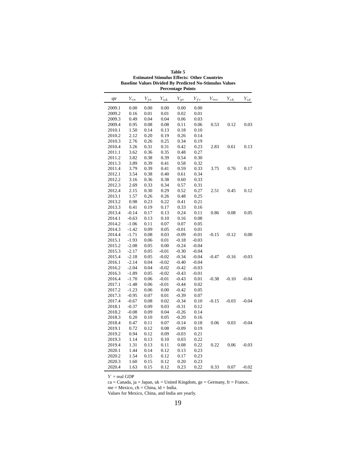| 1 сгсениаде 1 онно |          |          |          |          |          |          |          |          |  |
|--------------------|----------|----------|----------|----------|----------|----------|----------|----------|--|
| qtr                | $Y_{ca}$ | $Y_{ja}$ | $Y_{uk}$ | $Y_{ge}$ | $Y_{fr}$ | $Y_{me}$ | $Y_{ch}$ | $Y_{id}$ |  |
| 2009.1             | 0.00     | 0.00     | 0.00     | 0.00     | 0.00     |          |          |          |  |
| 2009.2             | 0.16     | 0.01     | 0.01     | 0.02     | 0.01     |          |          |          |  |
| 2009.3             | 0.49     | 0.04     | 0.04     | 0.06     | 0.03     |          |          |          |  |
| 2009.4             | 0.95     | 0.08     | 0.08     | 0.11     | 0.06     | 0.53     | 0.12     | 0.03     |  |
| 2010.1             | 1.50     | 0.14     | 0.13     | 0.18     | 0.10     |          |          |          |  |
| 2010.2             | 2.12     | 0.20     | 0.19     | 0.26     | 0.14     |          |          |          |  |
| 2010.3             | 2.76     | 0.26     | 0.25     | 0.34     | 0.19     |          |          |          |  |
| 2010.4             | 3.26     | 0.31     | 0.31     | 0.42     | 0.23     | 2.83     | 0.61     | 0.13     |  |
| 2011.1             | 3.62     | 0.36     | 0.35     | 0.48     | 0.27     |          |          |          |  |
| 2011.2             | 3.82     | 0.38     | 0.39     | 0.54     | 0.30     |          |          |          |  |
| 2011.3             | 3.89     | 0.39     | 0.41     | 0.58     | 0.32     |          |          |          |  |
| 2011.4             | 3.79     | 0.39     | 0.41     | 0.59     | 0.33     | 3.75     | 0.76     | 0.17     |  |
| 2012.1             | 3.54     | 0.38     | 0.40     | 0.61     | 0.34     |          |          |          |  |
| 2012.2             | 3.16     | 0.36     | 0.38     | 0.60     | 0.33     |          |          |          |  |
| 2012.3             | 2.69     | 0.33     | 0.34     | 0.57     | 0.31     |          |          |          |  |
| 2012.4             | 2.15     | 0.30     | 0.29     | 0.52     | 0.27     | 2.51     | 0.45     | 0.12     |  |
| 2013.1             | 1.57     | 0.26     | 0.26     | 0.48     | 0.25     |          |          |          |  |
| 2013.2             | 0.98     | 0.23     | 0.22     | 0.41     | 0.21     |          |          |          |  |
| 2013.3             | 0.41     | 0.19     | 0.17     | 0.33     | 0.16     |          |          |          |  |
| 2013.4             | $-0.14$  | 0.17     | 0.13     | 0.24     | 0.11     | 0.86     | 0.08     | 0.05     |  |
| 2014.1             | $-0.63$  | 0.13     | 0.10     | 0.16     | 0.08     |          |          |          |  |
| 2014.2             | $-1.06$  | 0.11     | 0.07     | 0.07     | 0.05     |          |          |          |  |
| 2014.3             | $-1.42$  | 0.09     | 0.05     | $-0.01$  | 0.01     |          |          |          |  |
| 2014.4             | $-1.71$  | 0.08     | 0.03     | $-0.09$  | $-0.01$  | $-0.15$  | $-0.12$  | 0.00     |  |
| 2015.1             | $-1.93$  | 0.06     | 0.01     | $-0.18$  | $-0.03$  |          |          |          |  |
| 2015.2             | $-2.08$  | 0.05     | 0.00     | $-0.24$  | $-0.04$  |          |          |          |  |
| 2015.3             | $-2.17$  | 0.05     | $-0.01$  | $-0.30$  | $-0.04$  |          |          |          |  |
| 2015.4             | $-2.18$  | 0.05     | $-0.02$  | $-0.34$  | $-0.04$  | $-0.47$  | $-0.16$  | $-0.03$  |  |
| 2016.1             | $-2.14$  | 0.04     | $-0.02$  | $-0.40$  | $-0.04$  |          |          |          |  |
| 2016.2             | $-2.04$  | 0.04     | $-0.02$  | $-0.42$  | $-0.03$  |          |          |          |  |
| 2016.3             | $-1.89$  | 0.05     | $-0.02$  | $-0.43$  | $-0.01$  |          |          |          |  |
| 2016.4             | $-1.70$  | 0.06     | $-0.01$  | $-0.43$  | 0.01     | $-0.38$  | $-0.10$  | $-0.04$  |  |
| 2017.1             | $-1.48$  | 0.06     | $-0.01$  | $-0.44$  | 0.02     |          |          |          |  |
| 2017.2             | $-1.23$  | 0.06     | 0.00     | $-0.42$  | 0.05     |          |          |          |  |
| 2017.3             | $-0.95$  | 0.07     | 0.01     | $-0.39$  | 0.07     |          |          |          |  |
| 2017.4             | $-0.67$  | 0.08     | 0.02     | $-0.34$  | 0.10     | $-0.15$  | $-0.03$  | $-0.04$  |  |
| 2018.1             | $-0.37$  | 0.09     | 0.03     | $-0.31$  | 0.12     |          |          |          |  |
| 2018.2             | $-0.08$  | 0.09     | $0.04\,$ | $-0.26$  | 0.14     |          |          |          |  |
| 2018.3             | 0.20     | 0.10     | 0.05     | $-0.20$  | 0.16     |          |          |          |  |
| 2018.4             | 0.47     | 0.11     | 0.07     | $-0.14$  | 0.18     | 0.06     | 0.03     | $-0.04$  |  |
| 2019.1             | 0.72     | 0.12     | 0.08     | $-0.09$  | 0.19     |          |          |          |  |
| 2019.2             | 0.94     | 0.12     | 0.09     | $-0.03$  | 0.21     |          |          |          |  |
| 2019.3             | 1.14     | 0.13     | 0.10     | 0.03     | 0.22     |          |          |          |  |
| 2019.4             | 1.31     | 0.13     | 0.11     | 0.08     | 0.22     | 0.22     | 0.06     | $-0.03$  |  |
| 2020.1             | 1.44     | 0.14     | 0.12     | 0.13     | 0.23     |          |          |          |  |
| 2020.2             | 1.54     | 0.15     | 0.12     | 0.17     | 0.23     |          |          |          |  |
| 2020.3             | 1.60     | 0.15     | 0.12     | 0.20     | 0.23     |          |          |          |  |
| 2020.4             | 1.63     | 0.15     | 0.12     | 0.23     | 0.22     | 0.33     | 0.07     | $-0.02$  |  |
|                    |          |          |          |          |          |          |          |          |  |

**Table 5 Estimated Stimulus Effects: Other Countries Baseline Values Divided By Predicted No-Stimulus Values Percentage Points**

*Y* = real GDP

 $ca = Canada$ , ja = Japan, uk = United Kingdom, ge = Germany, fr = France,  $me = Mexico$ ,  $ch = China$ ,  $id = India$ .

Values for Mexico, China, and India are yearly.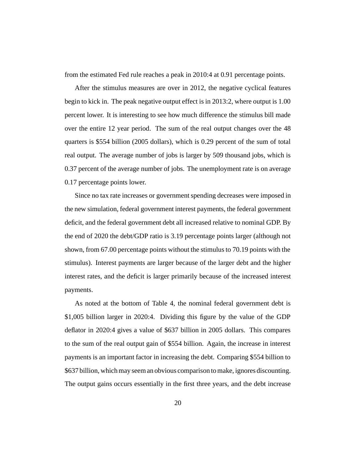from the estimated Fed rule reaches a peak in 2010:4 at 0.91 percentage points.

After the stimulus measures are over in 2012, the negative cyclical features begin to kick in. The peak negative output effect is in 2013:2, where output is 1.00 percent lower. It is interesting to see how much difference the stimulus bill made over the entire 12 year period. The sum of the real output changes over the 48 quarters is \$554 billion (2005 dollars), which is 0.29 percent of the sum of total real output. The average number of jobs is larger by 509 thousand jobs, which is 0.37 percent of the average number of jobs. The unemployment rate is on average 0.17 percentage points lower.

Since no tax rate increases or government spending decreases were imposed in the new simulation, federal government interest payments, the federal government deficit, and the federal government debt all increased relative to nominal GDP. By the end of 2020 the debt/GDP ratio is 3.19 percentage points larger (although not shown, from 67.00 percentage points without the stimulus to 70.19 points with the stimulus). Interest payments are larger because of the larger debt and the higher interest rates, and the deficit is larger primarily because of the increased interest payments.

As noted at the bottom of Table 4, the nominal federal government debt is \$1,005 billion larger in 2020:4. Dividing this figure by the value of the GDP deflator in 2020:4 gives a value of \$637 billion in 2005 dollars. This compares to the sum of the real output gain of \$554 billion. Again, the increase in interest payments is an important factor in increasing the debt. Comparing \$554 billion to \$637 billion, which may seem an obvious comparison to make, ignores discounting. The output gains occurs essentially in the first three years, and the debt increase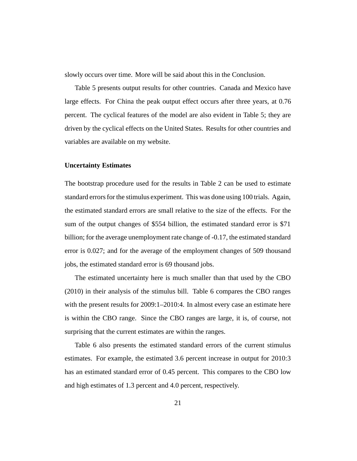slowly occurs over time. More will be said about this in the Conclusion.

Table 5 presents output results for other countries. Canada and Mexico have large effects. For China the peak output effect occurs after three years, at 0.76 percent. The cyclical features of the model are also evident in Table 5; they are driven by the cyclical effects on the United States. Results for other countries and variables are available on my website.

#### **Uncertainty Estimates**

The bootstrap procedure used for the results in Table 2 can be used to estimate standard errors for the stimulus experiment. This was done using 100 trials. Again, the estimated standard errors are small relative to the size of the effects. For the sum of the output changes of \$554 billion, the estimated standard error is \$71 billion; for the average unemployment rate change of -0.17, the estimated standard error is 0.027; and for the average of the employment changes of 509 thousand jobs, the estimated standard error is 69 thousand jobs.

The estimated uncertainty here is much smaller than that used by the CBO (2010) in their analysis of the stimulus bill. Table 6 compares the CBO ranges with the present results for 2009:1–2010:4. In almost every case an estimate here is within the CBO range. Since the CBO ranges are large, it is, of course, not surprising that the current estimates are within the ranges.

Table 6 also presents the estimated standard errors of the current stimulus estimates. For example, the estimated 3.6 percent increase in output for 2010:3 has an estimated standard error of 0.45 percent. This compares to the CBO low and high estimates of 1.3 percent and 4.0 percent, respectively.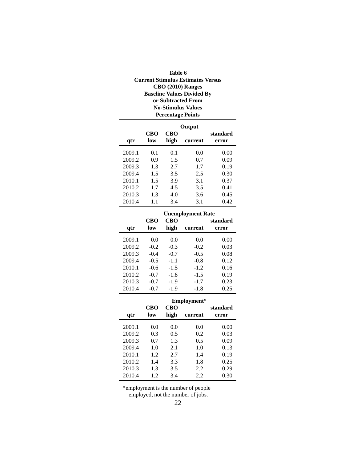| Table 6                                  |
|------------------------------------------|
| <b>Current Stimulus Estimates Versus</b> |
| CBO (2010) Ranges                        |
| <b>Baseline Values Divided By</b>        |
| or Subtracted From                       |
| <b>No-Stimulus Values</b>                |
| <b>Percentage Points</b>                 |

|        | Output     |             |         |                   |  |  |  |  |
|--------|------------|-------------|---------|-------------------|--|--|--|--|
| qtr    | CBO<br>low | CBO<br>high | current | standard<br>error |  |  |  |  |
| 2009.1 | 0.1        | 0.1         | 0.0     | 0.00              |  |  |  |  |
| 2009.2 | 0.9        | 1.5         | 0.7     | 0.09              |  |  |  |  |
| 2009.3 | 1.3        | 2.7         | 1.7     | 0.19              |  |  |  |  |
| 2009.4 | 1.5        | 3.5         | 2.5     | 0.30              |  |  |  |  |
| 2010.1 | 1.5        | 3.9         | 3.1     | 0.37              |  |  |  |  |
| 2010.2 | 1.7        | 4.5         | 3.5     | 0.41              |  |  |  |  |
| 2010.3 | 1.3        | 4.0         | 3.6     | 0.45              |  |  |  |  |
| 2010.4 | 11         | 3.4         | 3.1     | 0.42              |  |  |  |  |

|        | <b>Unemployment Rate</b> |            |         |          |  |  |  |  |
|--------|--------------------------|------------|---------|----------|--|--|--|--|
|        | <b>CBO</b>               | <b>CBO</b> |         | standard |  |  |  |  |
| qtr    | low                      | high       | current | error    |  |  |  |  |
| 2009.1 | 0.0                      | 0.0        | 0.0     | 0.00     |  |  |  |  |
| 2009.2 | $-0.2$                   | $-0.3$     | $-0.2$  | 0.03     |  |  |  |  |
| 2009.3 | $-0.4$                   | $-0.7$     | $-0.5$  | 0.08     |  |  |  |  |
| 2009.4 | $-0.5$                   | $-1.1$     | $-0.8$  | 0.12     |  |  |  |  |
| 2010.1 | $-0.6$                   | $-1.5$     | $-1.2$  | 0.16     |  |  |  |  |
| 2010.2 | $-0.7$                   | $-1.8$     | $-1.5$  | 0.19     |  |  |  |  |
| 2010.3 | $-0.7$                   | $-1.9$     | $-1.7$  | 0.23     |  |  |  |  |
| 2010.4 | $-0.7$                   | $-1.9$     | $-1.8$  | 0.25     |  |  |  |  |
|        |                          |            |         |          |  |  |  |  |

|        | Emplogment <sup>a</sup> |            |         |          |  |  |  |  |
|--------|-------------------------|------------|---------|----------|--|--|--|--|
|        | CBO                     | <b>CBO</b> |         | standard |  |  |  |  |
| qtr    | low                     | high       | current | error    |  |  |  |  |
| 2009.1 | 0.0                     | 0.0        | 0.0     | 0.00     |  |  |  |  |
| 2009.2 | 0.3                     | 0.5        | 0.2     | 0.03     |  |  |  |  |
| 2009.3 | 0.7                     | 1.3        | 0.5     | 0.09     |  |  |  |  |
| 2009.4 | 1.0                     | 2.1        | 1.0     | 0.13     |  |  |  |  |
| 2010.1 | 12                      | 2.7        | 1.4     | 0.19     |  |  |  |  |
| 2010.2 | 1.4                     | 3.3        | 1.8     | 0.25     |  |  |  |  |
| 2010.3 | 1.3                     | 3.5        | 2.2     | 0.29     |  |  |  |  |
| 2010.4 | 1.2                     | 3.4        | 2.2     | 0.30     |  |  |  |  |

*<sup>a</sup>*employment is the number of people

employed, not the number of jobs.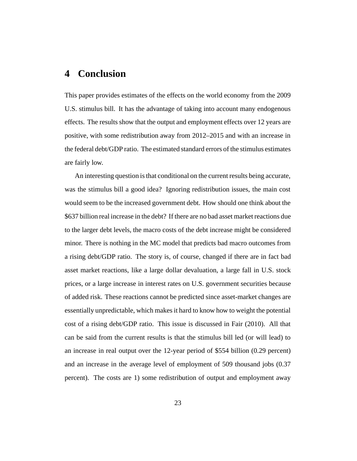# **4 Conclusion**

This paper provides estimates of the effects on the world economy from the 2009 U.S. stimulus bill. It has the advantage of taking into account many endogenous effects. The results show that the output and employment effects over 12 years are positive, with some redistribution away from 2012–2015 and with an increase in the federal debt/GDP ratio. The estimated standard errors of the stimulus estimates are fairly low.

An interesting question is that conditional on the current results being accurate, was the stimulus bill a good idea? Ignoring redistribution issues, the main cost would seem to be the increased government debt. How should one think about the \$637 billion real increase in the debt? If there are no bad asset market reactions due to the larger debt levels, the macro costs of the debt increase might be considered minor. There is nothing in the MC model that predicts bad macro outcomes from a rising debt/GDP ratio. The story is, of course, changed if there are in fact bad asset market reactions, like a large dollar devaluation, a large fall in U.S. stock prices, or a large increase in interest rates on U.S. government securities because of added risk. These reactions cannot be predicted since asset-market changes are essentially unpredictable, which makes it hard to know how to weight the potential cost of a rising debt/GDP ratio. This issue is discussed in Fair (2010). All that can be said from the current results is that the stimulus bill led (or will lead) to an increase in real output over the 12-year period of \$554 billion (0.29 percent) and an increase in the average level of employment of 509 thousand jobs (0.37 percent). The costs are 1) some redistribution of output and employment away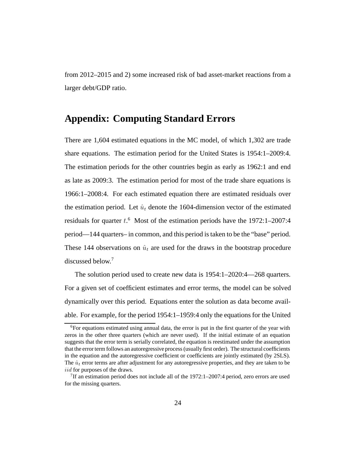from 2012–2015 and 2) some increased risk of bad asset-market reactions from a larger debt/GDP ratio.

### **Appendix: Computing Standard Errors**

There are 1,604 estimated equations in the MC model, of which 1,302 are trade share equations. The estimation period for the United States is 1954:1–2009:4. The estimation periods for the other countries begin as early as 1962:1 and end as late as 2009:3. The estimation period for most of the trade share equations is 1966:1–2008:4. For each estimated equation there are estimated residuals over the estimation period. Let  $\hat{u}_t$  denote the 1604-dimension vector of the estimated residuals for quarter *t*. <sup>6</sup> Most of the estimation periods have the 1972:1–2007:4 period—144 quarters– in common, and this period is taken to be the "base" period. These 144 observations on  $\hat{u}_t$  are used for the draws in the bootstrap procedure discussed below.<sup>7</sup>

The solution period used to create new data is 1954:1–2020:4—268 quarters. For a given set of coefficient estimates and error terms, the model can be solved dynamically over this period. Equations enter the solution as data become available. For example, for the period 1954:1–1959:4 only the equations for the United

<sup>&</sup>lt;sup>6</sup>For equations estimated using annual data, the error is put in the first quarter of the year with zeros in the other three quarters (which are never used). If the initial estimate of an equation suggests that the error term is serially correlated, the equation is reestimated under the assumption that the error term follows an autoregressive process (usually first order). The structural coefficients in the equation and the autoregressive coefficient or coefficients are jointly estimated (by 2SLS). The  $\hat{u}_t$  error terms are after adjustment for any autoregressive properties, and they are taken to be *iid* for purposes of the draws.

 $7$ If an estimation period does not include all of the 1972:1–2007:4 period, zero errors are used for the missing quarters.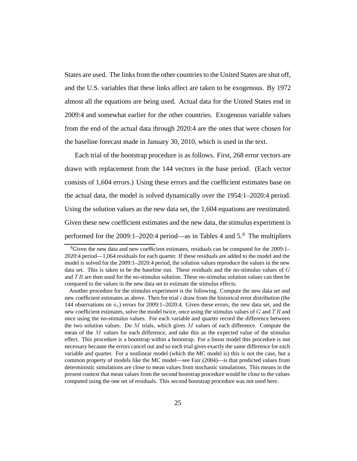States are used. The links from the other countries to the United States are shut off, and the U.S. variables that these links affect are taken to be exogenous. By 1972 almost all the equations are being used. Actual data for the United States end in 2009:4 and somewhat earlier for the other countries. Exogenous variable values from the end of the actual data through 2020:4 are the ones that were chosen for the baseline forecast made in January 30, 2010, which is used in the text.

Each trial of the bootstrap procedure is as follows. First, 268 error vectors are drawn with replacement from the 144 vectors in the base period. (Each vector consists of 1,604 errors.) Using these errors and the coefficient estimates base on the actual data, the model is solved dynamically over the 1954:1–2020:4 period. Using the solution values as the new data set, the 1,604 equations are reestimated. Given these new coefficient estimates and the new data, the stimulus experiment is performed for the  $2009:1-2020:4$  period—as in Tables 4 and  $5.^8$ . The multipliers

 $8$ Given the new data and new coefficient estimates, residuals can be computed for the 2009:1– 2020:4 period—1,064 residuals for each quarter. If these residuals are added to the model and the model is solved for the 2009:1–2020:4 period, the solution values reproduce the values in the new data set. This is taken to be the baseline run. These residuals and the no-stimulus values of *G* and *T R* are then used for the no-stimulus solution. These no-stimulus solution values can then be compared to the values in the new data set to estimate the stimulus effects.

Another procedure for the stimulus experiment is the following. Compute the new data set and new coefficient estimates as above. Then for trial *i* draw from the historical error distribution (the 144 observations on  $\hat{u}_t$ ) errors for 2009:1–2020:4. Given these errors, the new data set, and the new coefficient estimates, solve the model twice, once using the stimulus values of *G* and *T R* and once using the no-stimulus values. For each variable and quarter record the difference between the two solution values. Do *M* trials, which gives *M* values of each difference. Compute the mean of the *M* values for each difference, and take this as the expected value of the stimulus effect. This procedure is a bootstrap within a bootstrap. For a linear model this procedure is not necessary because the errors cancel out and so each trial gives exactly the same difference for each variable and quarter. For a nonlinear model (which the MC model is) this is not the case, but a common property of models like the MC model—see Fair (2004)—is that predicted values from deterministic simulations are close to mean values from stochastic simulations. This means in the present context that mean values from the second bootstrap procedure would be close to the values computed using the one set of residuals. This second bootstrap procedure was not used here.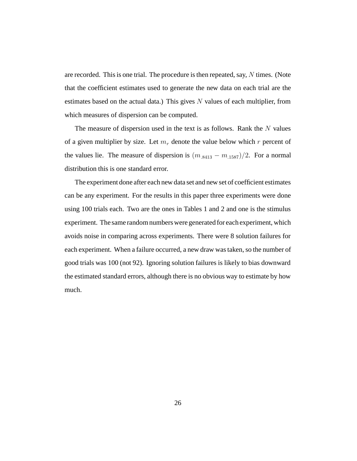are recorded. This is one trial. The procedure is then repeated, say, *N* times. (Note that the coefficient estimates used to generate the new data on each trial are the estimates based on the actual data.) This gives *N* values of each multiplier, from which measures of dispersion can be computed.

The measure of dispersion used in the text is as follows. Rank the *N* values of a given multiplier by size. Let *m<sup>r</sup>* denote the value below which *r* percent of the values lie. The measure of dispersion is  $(m_{.8413} - m_{.1587})/2$ . For a normal distribution this is one standard error.

The experiment done after each new data set and new set of coefficient estimates can be any experiment. For the results in this paper three experiments were done using 100 trials each. Two are the ones in Tables 1 and 2 and one is the stimulus experiment. The same random numbers were generated for each experiment, which avoids noise in comparing across experiments. There were 8 solution failures for each experiment. When a failure occurred, a new draw was taken, so the number of good trials was 100 (not 92). Ignoring solution failures is likely to bias downward the estimated standard errors, although there is no obvious way to estimate by how much.